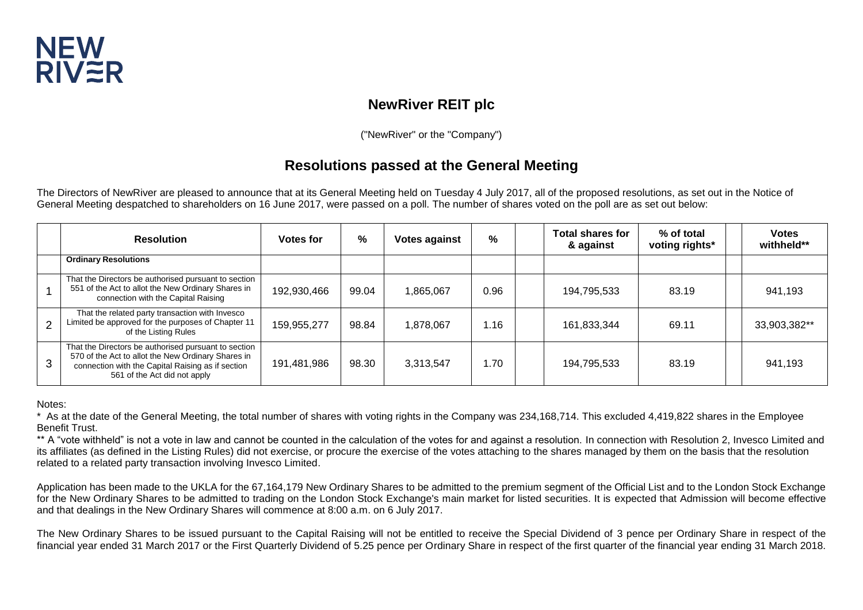

# **NewRiver REIT plc**

("NewRiver" or the "Company")

## **Resolutions passed at the General Meeting**

The Directors of NewRiver are pleased to announce that at its General Meeting held on Tuesday 4 July 2017, all of the proposed resolutions, as set out in the Notice of General Meeting despatched to shareholders on 16 June 2017, were passed on a poll. The number of shares voted on the poll are as set out below:

|                | <b>Resolution</b>                                                                                                                                                                               | <b>Votes for</b> | %     | <b>Votes against</b> | %    | <b>Total shares for</b><br>& against | % of total<br>voting rights* | <b>Votes</b><br>withheld** |
|----------------|-------------------------------------------------------------------------------------------------------------------------------------------------------------------------------------------------|------------------|-------|----------------------|------|--------------------------------------|------------------------------|----------------------------|
|                | <b>Ordinary Resolutions</b>                                                                                                                                                                     |                  |       |                      |      |                                      |                              |                            |
|                | That the Directors be authorised pursuant to section<br>551 of the Act to allot the New Ordinary Shares in<br>connection with the Capital Raising                                               | 192,930,466      | 99.04 | 1,865,067            | 0.96 | 194,795,533                          | 83.19                        | 941,193                    |
| $\overline{2}$ | That the related party transaction with Invesco<br>Limited be approved for the purposes of Chapter 11<br>of the Listing Rules                                                                   | 159,955,277      | 98.84 | 1,878,067            | 1.16 | 161,833,344                          | 69.11                        | 33,903,382**               |
| 3              | That the Directors be authorised pursuant to section<br>570 of the Act to allot the New Ordinary Shares in<br>connection with the Capital Raising as if section<br>561 of the Act did not apply | 191,481,986      | 98.30 | 3,313,547            | 1.70 | 194,795,533                          | 83.19                        | 941,193                    |

Notes:

\* As at the date of the General Meeting, the total number of shares with voting rights in the Company was 234,168,714. This excluded 4,419,822 shares in the Employee Benefit Trust.

\*\* A "vote withheld" is not a vote in law and cannot be counted in the calculation of the votes for and against a resolution. In connection with Resolution 2, Invesco Limited and its affiliates (as defined in the Listing Rules) did not exercise, or procure the exercise of the votes attaching to the shares managed by them on the basis that the resolution related to a related party transaction involving Invesco Limited.

Application has been made to the UKLA for the 67,164,179 New Ordinary Shares to be admitted to the premium segment of the Official List and to the London Stock Exchange for the New Ordinary Shares to be admitted to trading on the London Stock Exchange's main market for listed securities. It is expected that Admission will become effective and that dealings in the New Ordinary Shares will commence at 8:00 a.m. on 6 July 2017.

The New Ordinary Shares to be issued pursuant to the Capital Raising will not be entitled to receive the Special Dividend of 3 pence per Ordinary Share in respect of the financial year ended 31 March 2017 or the First Quarterly Dividend of 5.25 pence per Ordinary Share in respect of the first quarter of the financial year ending 31 March 2018.